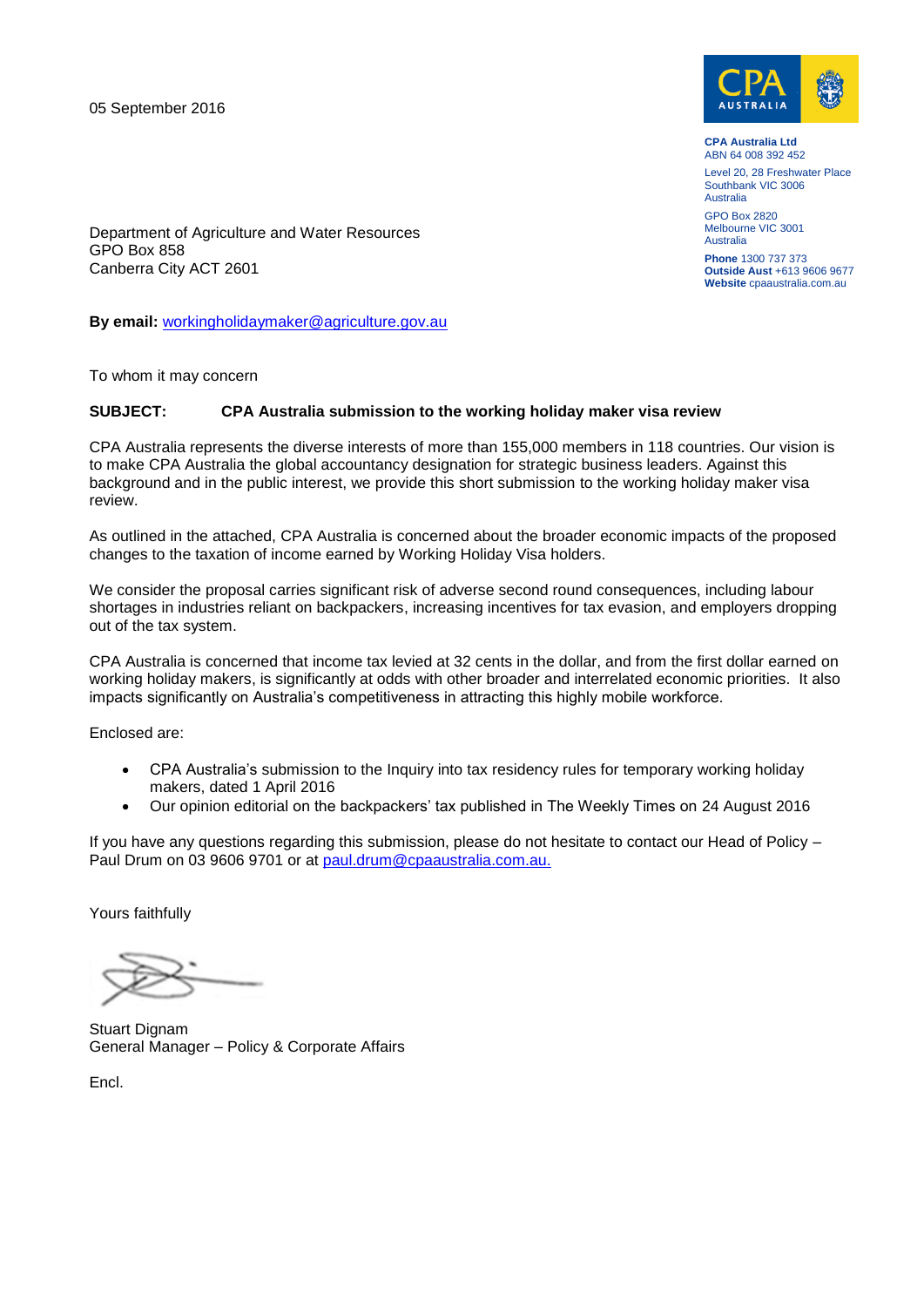05 September 2016



**CPA Australia Ltd** ABN 64 008 392 452 Level 20, 28 Freshwater Place Southbank VIC 3006 Australia

GPO Box 2820 Melbourne VIC 3001 Australia

**Phone** 1300 737 373 **Outside Aust** +613 9606 9677 **Website** cpaaustralia.com.au

Department of Agriculture and Water Resources GPO Box 858 Canberra City ACT 2601

**By email:** [workingholidaymaker@agriculture.gov.au](mailto:workingholidaymaker@agriculture.gov.au)

To whom it may concern

## **SUBJECT: CPA Australia submission to the working holiday maker visa review**

CPA Australia represents the diverse interests of more than 155,000 members in 118 countries. Our vision is to make CPA Australia the global accountancy designation for strategic business leaders. Against this background and in the public interest, we provide this short submission to the working holiday maker visa review.

As outlined in the attached, CPA Australia is concerned about the broader economic impacts of the proposed changes to the taxation of income earned by Working Holiday Visa holders.

We consider the proposal carries significant risk of adverse second round consequences, including labour shortages in industries reliant on backpackers, increasing incentives for tax evasion, and employers dropping out of the tax system.

CPA Australia is concerned that income tax levied at 32 cents in the dollar, and from the first dollar earned on working holiday makers, is significantly at odds with other broader and interrelated economic priorities. It also impacts significantly on Australia's competitiveness in attracting this highly mobile workforce.

Enclosed are:

- CPA Australia's submission to the Inquiry into tax residency rules for temporary working holiday makers, dated 1 April 2016
- Our opinion editorial on the backpackers' tax published in The Weekly Times on 24 August 2016

If you have any questions regarding this submission, please do not hesitate to contact our Head of Policy – Paul Drum on 03 9606 9701 or at [paul.drum@cpaaustralia.com.au.](mailto:paul.drum@cpaaustralia.com.au)

Yours faithfully

Stuart Dignam General Manager – Policy & Corporate Affairs

Encl.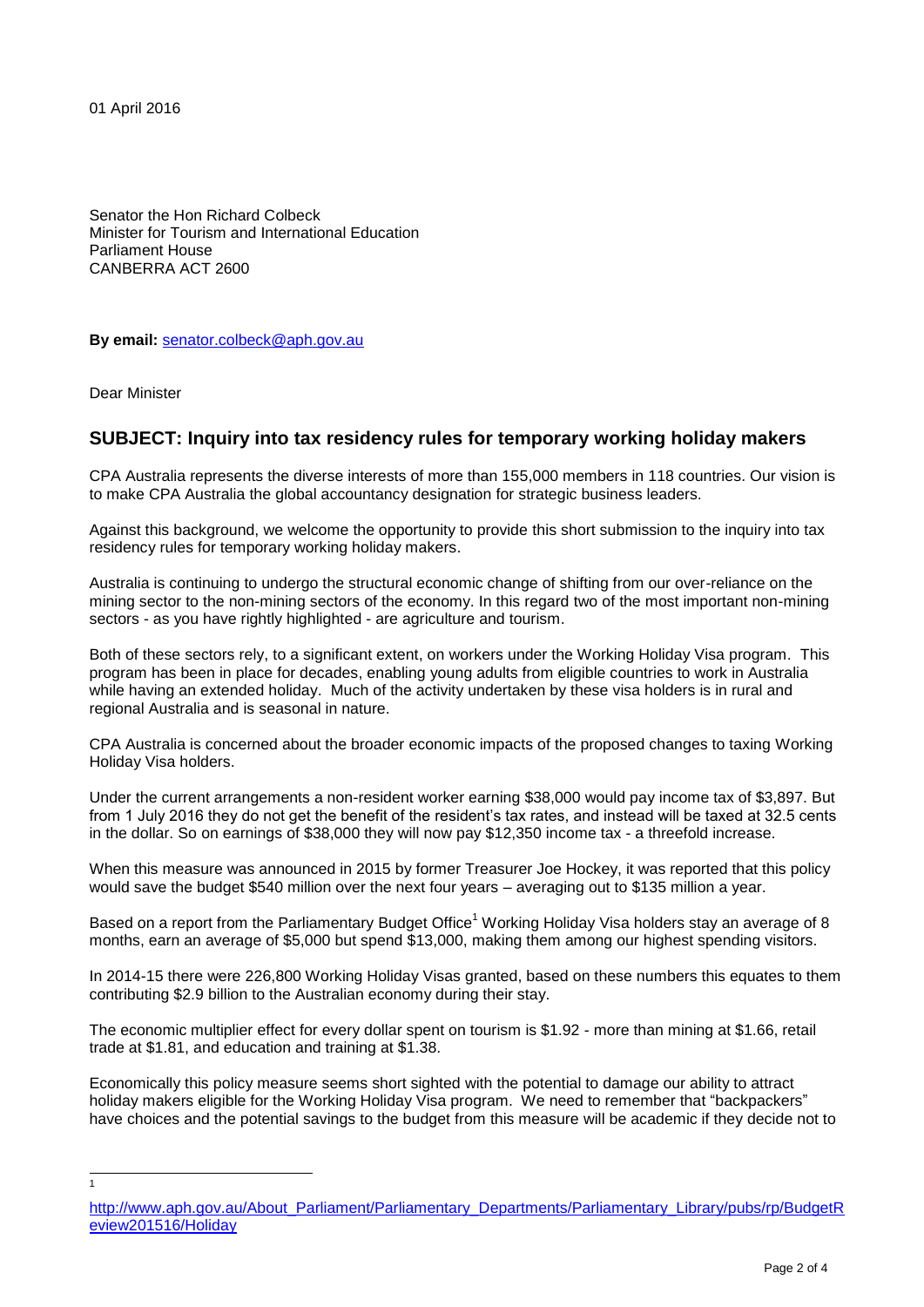01 April 2016

Senator the Hon Richard Colbeck Minister for Tourism and International Education Parliament House CANBERRA ACT 2600

**By email:** [senator.colbeck@aph.gov.au](mailto:senator.colbeck@aph.gov.au)

Dear Minister

 $\frac{1}{1}$ 

## **SUBJECT: Inquiry into tax residency rules for temporary working holiday makers**

CPA Australia represents the diverse interests of more than 155,000 members in 118 countries. Our vision is to make CPA Australia the global accountancy designation for strategic business leaders.

Against this background, we welcome the opportunity to provide this short submission to the inquiry into tax residency rules for temporary working holiday makers.

Australia is continuing to undergo the structural economic change of shifting from our over-reliance on the mining sector to the non-mining sectors of the economy. In this regard two of the most important non-mining sectors - as you have rightly highlighted - are agriculture and tourism.

Both of these sectors rely, to a significant extent, on workers under the Working Holiday Visa program. This program has been in place for decades, enabling young adults from eligible countries to work in Australia while having an extended holiday. Much of the activity undertaken by these visa holders is in rural and regional Australia and is seasonal in nature.

CPA Australia is concerned about the broader economic impacts of the proposed changes to taxing Working Holiday Visa holders.

Under the current arrangements a non-resident worker earning \$38,000 would pay income tax of \$3,897. But from 1 July 2016 they do not get the benefit of the resident's tax rates, and instead will be taxed at 32.5 cents in the dollar. So on earnings of \$38,000 they will now pay \$12,350 income tax - a threefold increase.

When this measure was announced in 2015 by former Treasurer Joe Hockey, it was reported that this policy would save the budget \$540 million over the next four years – averaging out to \$135 million a year.

Based on a report from the Parliamentary Budget Office<sup>1</sup> Working Holiday Visa holders stay an average of 8 months, earn an average of \$5,000 but spend \$13,000, making them among our highest spending visitors.

In 2014-15 there were 226,800 Working Holiday Visas granted, based on these numbers this equates to them contributing \$2.9 billion to the Australian economy during their stay.

The economic multiplier effect for every dollar spent on tourism is \$1.92 - more than mining at \$1.66, retail trade at \$1.81, and education and training at \$1.38.

Economically this policy measure seems short sighted with the potential to damage our ability to attract holiday makers eligible for the Working Holiday Visa program. We need to remember that "backpackers" have choices and the potential savings to the budget from this measure will be academic if they decide not to

[http://www.aph.gov.au/About\\_Parliament/Parliamentary\\_Departments/Parliamentary\\_Library/pubs/rp/BudgetR](http://www.aph.gov.au/About_Parliament/Parliamentary_Departments/Parliamentary_Library/pubs/rp/BudgetReview201516/Holiday) [eview201516/Holiday](http://www.aph.gov.au/About_Parliament/Parliamentary_Departments/Parliamentary_Library/pubs/rp/BudgetReview201516/Holiday)

Page 2 of 4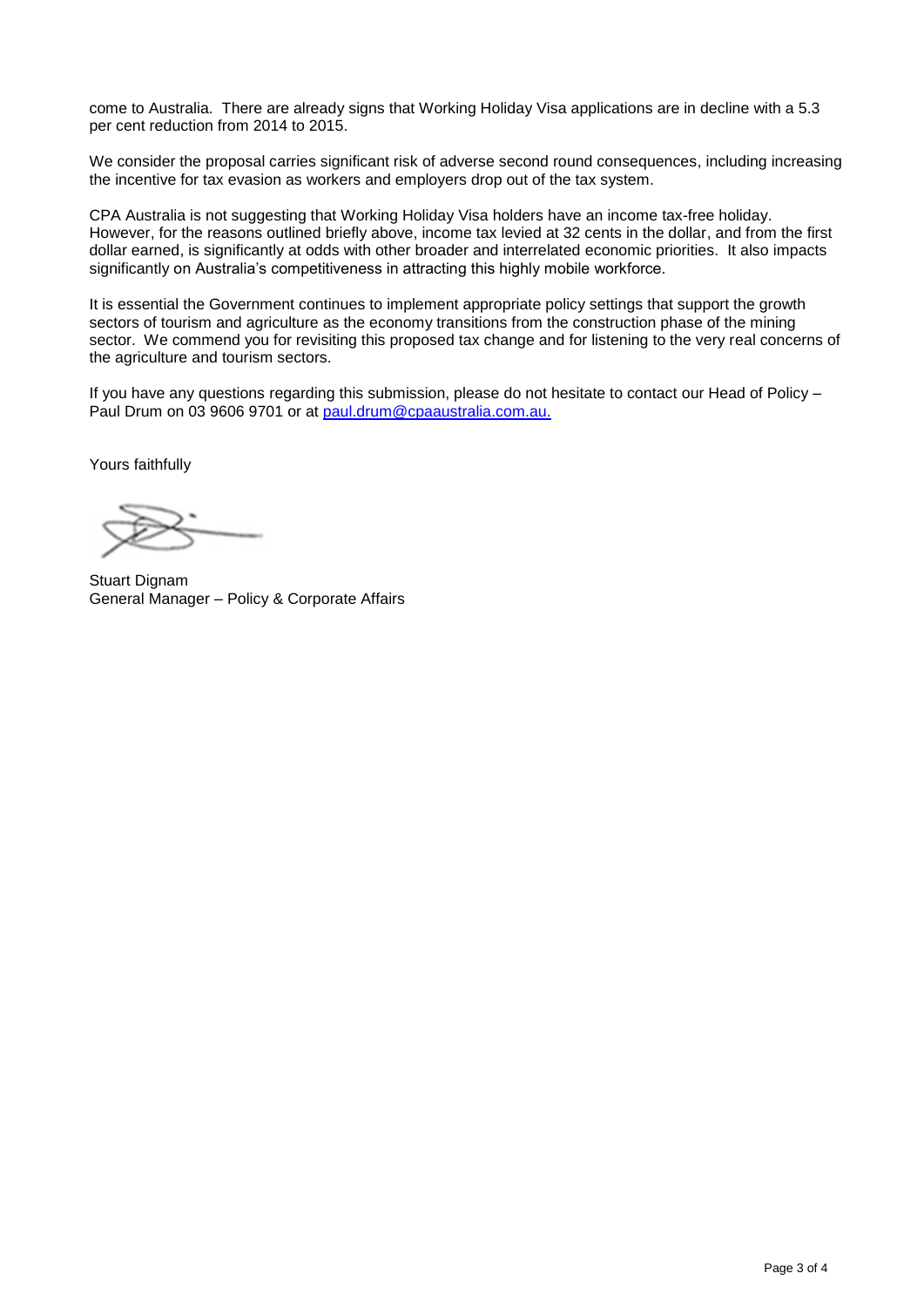come to Australia. There are already signs that Working Holiday Visa applications are in decline with a 5.3 per cent reduction from 2014 to 2015.

We consider the proposal carries significant risk of adverse second round consequences, including increasing the incentive for tax evasion as workers and employers drop out of the tax system.

CPA Australia is not suggesting that Working Holiday Visa holders have an income tax-free holiday. However, for the reasons outlined briefly above, income tax levied at 32 cents in the dollar, and from the first dollar earned, is significantly at odds with other broader and interrelated economic priorities. It also impacts significantly on Australia's competitiveness in attracting this highly mobile workforce.

It is essential the Government continues to implement appropriate policy settings that support the growth sectors of tourism and agriculture as the economy transitions from the construction phase of the mining sector. We commend you for revisiting this proposed tax change and for listening to the very real concerns of the agriculture and tourism sectors.

If you have any questions regarding this submission, please do not hesitate to contact our Head of Policy – Paul Drum on 03 9606 9701 or at [paul.drum@cpaaustralia.com.au.](mailto:paul.drum@cpaaustralia.com.au)

Yours faithfully

Stuart Dignam General Manager – Policy & Corporate Affairs